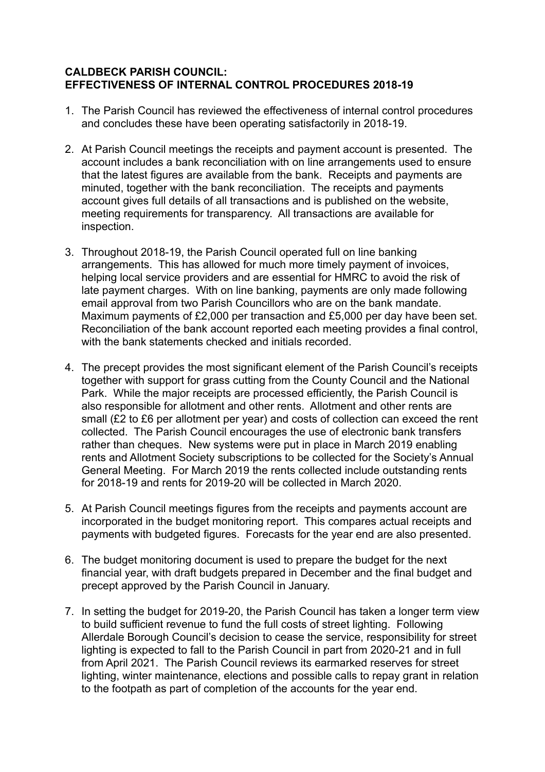## **CALDBECK PARISH COUNCIL: EFFECTIVENESS OF INTERNAL CONTROL PROCEDURES 2018-19**

- 1. The Parish Council has reviewed the effectiveness of internal control procedures and concludes these have been operating satisfactorily in 2018-19.
- 2. At Parish Council meetings the receipts and payment account is presented. The account includes a bank reconciliation with on line arrangements used to ensure that the latest figures are available from the bank. Receipts and payments are minuted, together with the bank reconciliation. The receipts and payments account gives full details of all transactions and is published on the website, meeting requirements for transparency. All transactions are available for inspection.
- 3. Throughout 2018-19, the Parish Council operated full on line banking arrangements. This has allowed for much more timely payment of invoices, helping local service providers and are essential for HMRC to avoid the risk of late payment charges. With on line banking, payments are only made following email approval from two Parish Councillors who are on the bank mandate. Maximum payments of £2,000 per transaction and £5,000 per day have been set. Reconciliation of the bank account reported each meeting provides a final control, with the bank statements checked and initials recorded.
- 4. The precept provides the most significant element of the Parish Council's receipts together with support for grass cutting from the County Council and the National Park. While the major receipts are processed efficiently, the Parish Council is also responsible for allotment and other rents. Allotment and other rents are small (£2 to £6 per allotment per year) and costs of collection can exceed the rent collected. The Parish Council encourages the use of electronic bank transfers rather than cheques. New systems were put in place in March 2019 enabling rents and Allotment Society subscriptions to be collected for the Society's Annual General Meeting. For March 2019 the rents collected include outstanding rents for 2018-19 and rents for 2019-20 will be collected in March 2020.
- 5. At Parish Council meetings figures from the receipts and payments account are incorporated in the budget monitoring report. This compares actual receipts and payments with budgeted figures. Forecasts for the year end are also presented.
- 6. The budget monitoring document is used to prepare the budget for the next financial year, with draft budgets prepared in December and the final budget and precept approved by the Parish Council in January.
- 7. In setting the budget for 2019-20, the Parish Council has taken a longer term view to build sufficient revenue to fund the full costs of street lighting. Following Allerdale Borough Council's decision to cease the service, responsibility for street lighting is expected to fall to the Parish Council in part from 2020-21 and in full from April 2021. The Parish Council reviews its earmarked reserves for street lighting, winter maintenance, elections and possible calls to repay grant in relation to the footpath as part of completion of the accounts for the year end.